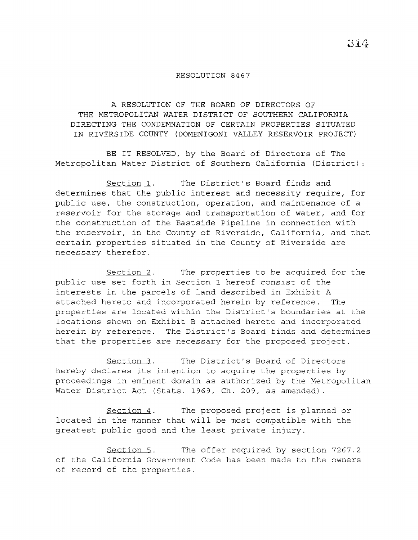## RESOLUTION 8467

A RESOLUTION OF THE BOARD OF DIRECTORS OF THE METROPOLITAN WATER DISTRICT OF SOUTHERN CALIFORNIA DIRECTING THE CONDEMNATION OF CERTAIN PROPERTIES SITUATED IN RIVERSIDE COUNTY (DOMENIGONI VALLEY RESERVOIR PROJECT)

BE IT RESOLVED, by the Board of Directors of The Metropolitan Water District of Southern California (District)

Section 1. The District's Board finds and determines that the public interest and necessity require, for public use, the construction, operation, and maintenance of a reservoir for the storage and transportation of water, and for the construction of the Eastside Pipeline in connection with the reservoir, in the County of Riverside, California, and that certain properties situated in the County of Riverside are necessary therefor.

Section 2. The properties to be acquired for the public use set forth in Section 1 hereof consist of the interests in the parcels of land described in Exhibit <sup>A</sup> attached hereto and incorporated herein by reference. The properties are located within the District's boundaries at the locations shown on Exhibit B attached hereto and incorporated herein by reference. The District's Board finds and determines that the properties are necessary for the proposed project.

Section 3. The District's Board of Directors hereby declares its intention to acquire the properties by proceedings in eminent domain as authorized by the Metropolitan Water District Act (Stats. 1969, Ch. 209, as amended) .

Section 4. The proposed project is planned or located in the manner that will be most compatible with the greatest public good and the least private injury.

Section 5. The offer required by section 7267.2 of the California Government Code has been made to the owners of record of the properties.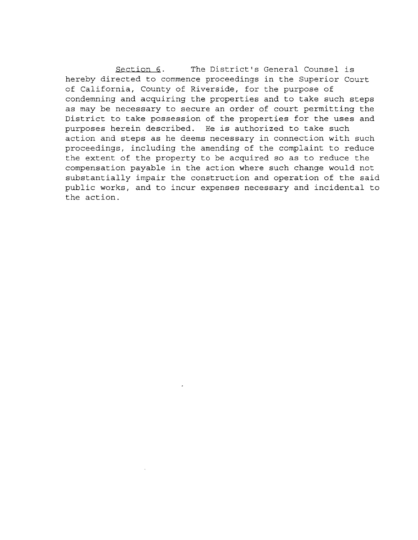Section 6. The District's General Counsel is hereby directed to commence proceedings in the Superior Court of California, County of Riverside, for the purpose of condemning and acquiring the properties and to take such steps as may be necessary to secure an order of court permitting the District to take possession of the properties for the uses and purposes herein described. He is authorized to take such action and steps as he deems necessary in connection with such proceedings, including the amending of the complaint to reduce the extent of the property to be acquired so as to reduce the compensation payable in the action where such change would not substantially impair the construction and operation of the said public works, and to incur expenses necessary and incidental to the action.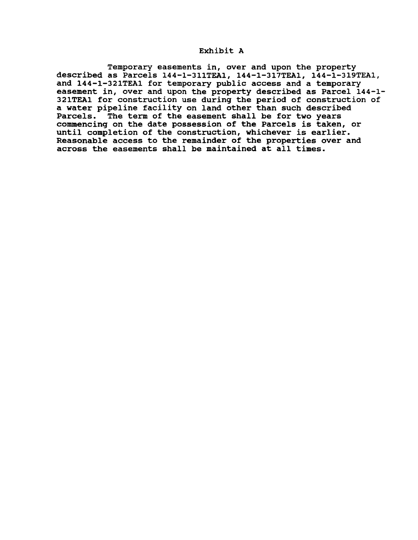## Exhibit A

Temporary easements in, over and upon the property described as Parcels 144-1-311TEAl, 144-1-317TEAl, 144-1-319TEA1, and 144-1-321TEA1 for temporary public access and a temporary easement in, over and upon the property described as Parcel 144-1- 321TEA1 for construction use during the period of construction of a water pipeline facility on land other than such described Parcels. The term of the easement shall be for two years commencing on the date possession of the Parcels is taken, or commencing on the tate possession of the ratters is taken,<br>until completion of the construction, whichever is earlier. Reasonable access to the remainder of the properties over and across the easements shall be maintained at all times.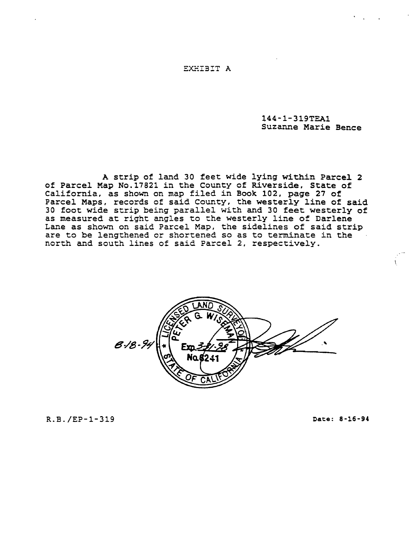144-1-319TEAl Suzanne Marie Bence

<sup>A</sup> strip of land 30 feet wide lying within Parce1 <sup>2</sup> of Parcel Map No.17821 in the County of Riverside, State of California, as shown on map filed in Book 102, page 27 of Parcel Maps, records of said County, the westerly line of said <sup>30</sup> foot wide strip being parallel with and <sup>30</sup> feet westerly of as measured at right angles to the westerly line of Darlene Lane as shown on said Parcel Map, the sidelines of said strip are to be lengthened or shortened so as to terminate in the north and south lines of said Parcel 2, respectively.



R.B./EP-1-319 Date: 8-16-94

 $\mathbf$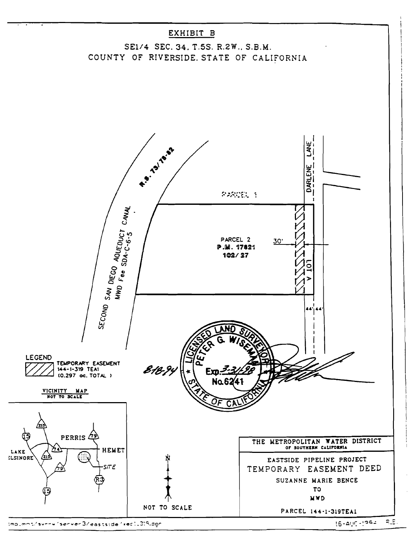

 $16 - 200 - 1992$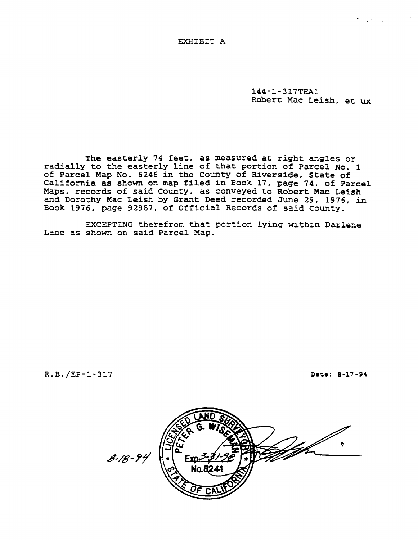144-1-317TEA1 Robert Mac Leish, et ux

The easterly <sup>74</sup> feet, as measured at right angles or radially to the easterly line of that portion of Parcel No. <sup>1</sup> of Parcel Map No. 6246 in the County of Riverside, State of California as shown on map filed in Book 17, page 74, of Parcel Maps, records of said County, as conveyed to Robert Mac Leish and Dorothy Mac Leish by Grant Deed recorded June 29, 1976, in Book 1976, page 92987, of Official Records of said County.

EXCEPTING therefrom that portion lying within Darlene Lane as shown on said Parcel Map.

R.B./EP-1-317 Date: 8-17-94

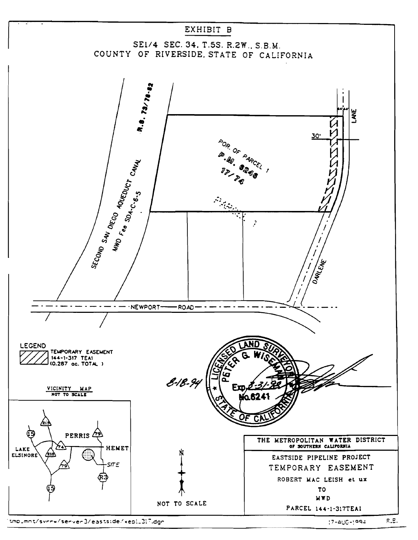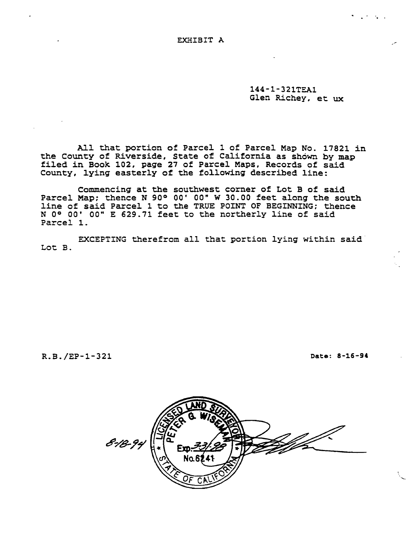144-1-321TEA1 Glen Richey, et ux

Al1 that portion of Parce1 <sup>1</sup> of Parcel Map No. 17821 in the County of Riverside, State of California as shown by map fi1ed in Book 102, page <sup>27</sup> of Parcel Maps, Records of said County, 1ying easterly of the fo11owing described 1ine:

Commencing at the southwest corner of Lot <sup>B</sup> of said Parcel Map: thence N 90° 00' 00" W 30.00 feet along the south line of said Parce1 <sup>1</sup> to the TRUE POINT OF BEGINNING: thence <sup>N</sup> 0° 00' 00" <sup>E</sup> 629.71 feet to the northerly line of said Parcel 1.

EXCEPTING therefrom all that portion lying within said Lot B.

R.B./EP-1-321 Date: 8-16-94

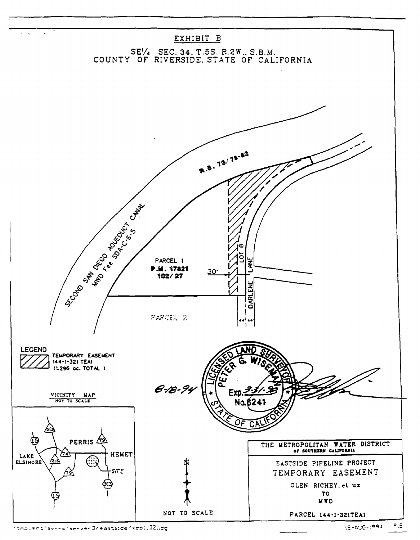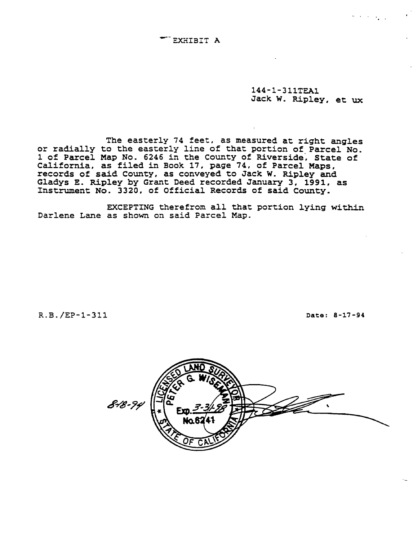144-1-311TEA1 Jack W. Ripley, et ux

The easterly 74 feet, as measured at right angles or radially to the easterly line of that portion of Parcel No. 1 of Parcel Map No. 6246 in the County of Riverside, State of California, as filed in Book 17, page 74, of Parcel Maps, records of said County, as conveyed to Jack W. Ripley and Gladys E. Ripley by Grant Deed recorded January 3, 1991, as Instrument No. 3320, of Official Records of said County.

EXCEPTING therefrom all that portion lying within Darlene Lane as shown on said Parcel Map.

R.B./EP-1-311 Date: 8-17-94

![](_page_9_Picture_6.jpeg)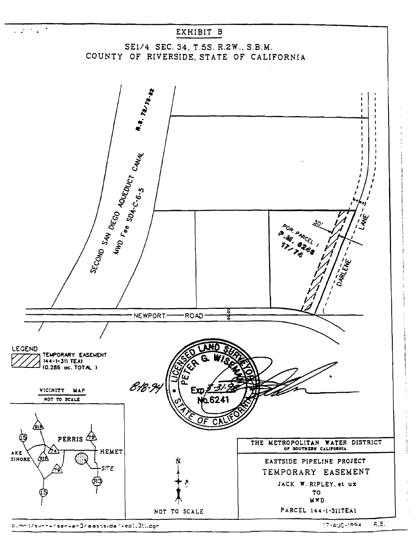![](_page_10_Figure_0.jpeg)

p.mnt/sv===/serve=3/eastside/<epi.3!i.dan

 $7 - 416 - 1994$ R.B.